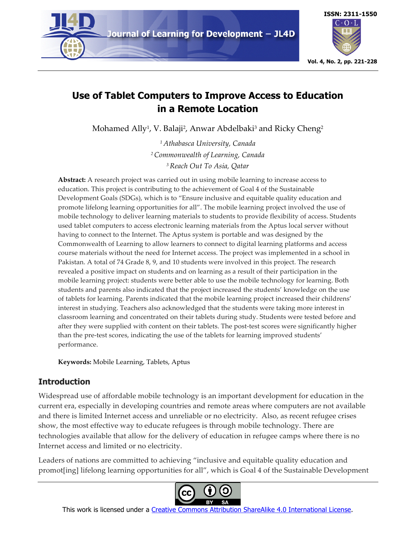



# **Use of Tablet Computers to Improve Access to Education in a Remote Location**

Mohamed Ally<sup>1</sup>, V. Balaji<sup>2</sup>, Anwar Abdelbaki<sup>3</sup> and Ricky Cheng<sup>2</sup>

*<sup>1</sup> Athabasca University, Canada 2Commonwealth of Learning, Canada 3Reach Out To Asia, Qatar*

**Abstract:** A research project was carried out in using mobile learning to increase access to education. This project is contributing to the achievement of Goal 4 of the Sustainable Development Goals (SDGs), which is to "Ensure inclusive and equitable quality education and promote lifelong learning opportunities for all". The mobile learning project involved the use of mobile technology to deliver learning materials to students to provide flexibility of access. Students used tablet computers to access electronic learning materials from the Aptus local server without having to connect to the Internet. The Aptus system is portable and was designed by the Commonwealth of Learning to allow learners to connect to digital learning platforms and access course materials without the need for Internet access. The project was implemented in a school in Pakistan. A total of 74 Grade 8, 9, and 10 students were involved in this project. The research revealed a positive impact on students and on learning as a result of their participation in the mobile learning project: students were better able to use the mobile technology for learning. Both students and parents also indicated that the project increased the students' knowledge on the use of tablets for learning. Parents indicated that the mobile learning project increased their childrens' interest in studying. Teachers also acknowledged that the students were taking more interest in classroom learning and concentrated on their tablets during study. Students were tested before and after they were supplied with content on their tablets. The post-test scores were significantly higher than the pre-test scores, indicating the use of the tablets for learning improved students' performance.

**Keywords:** Mobile Learning, Tablets, Aptus

# **Introduction**

Widespread use of affordable mobile technology is an important development for education in the current era, especially in developing countries and remote areas where computers are not available and there is limited Internet access and unreliable or no electricity. Also, as recent refugee crises show, the most effective way to educate refugees is through mobile technology. There are technologies available that allow for the delivery of education in refugee camps where there is no Internet access and limited or no electricity.

Leaders of nations are committed to achieving "inclusive and equitable quality education and promot[ing] lifelong learning opportunities for all", which is Goal 4 of the Sustainable Development



This work is licensed under a Creative Commons Attribution ShareAlike 4.0 International License.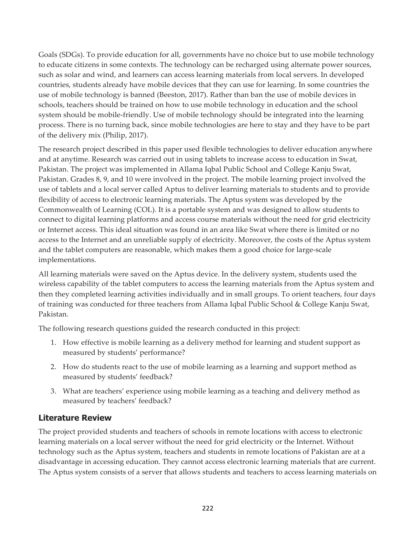Goals (SDGs). To provide education for all, governments have no choice but to use mobile technology to educate citizens in some contexts. The technology can be recharged using alternate power sources, such as solar and wind, and learners can access learning materials from local servers. In developed countries, students already have mobile devices that they can use for learning. In some countries the use of mobile technology is banned (Beeston, 2017). Rather than ban the use of mobile devices in schools, teachers should be trained on how to use mobile technology in education and the school system should be mobile-friendly. Use of mobile technology should be integrated into the learning process. There is no turning back, since mobile technologies are here to stay and they have to be part of the delivery mix (Philip, 2017).

The research project described in this paper used flexible technologies to deliver education anywhere and at anytime. Research was carried out in using tablets to increase access to education in Swat, Pakistan. The project was implemented in Allama Iqbal Public School and College Kanju Swat, Pakistan. Grades 8, 9, and 10 were involved in the project. The mobile learning project involved the use of tablets and a local server called Aptus to deliver learning materials to students and to provide flexibility of access to electronic learning materials. The Aptus system was developed by the Commonwealth of Learning (COL). It is a portable system and was designed to allow students to connect to digital learning platforms and access course materials without the need for grid electricity or Internet access. This ideal situation was found in an area like Swat where there is limited or no access to the Internet and an unreliable supply of electricity. Moreover, the costs of the Aptus system and the tablet computers are reasonable, which makes them a good choice for large-scale implementations.

All learning materials were saved on the Aptus device. In the delivery system, students used the wireless capability of the tablet computers to access the learning materials from the Aptus system and then they completed learning activities individually and in small groups. To orient teachers, four days of training was conducted for three teachers from Allama Iqbal Public School & College Kanju Swat, Pakistan.

The following research questions guided the research conducted in this project:

- 1. How effective is mobile learning as a delivery method for learning and student support as measured by students' performance?
- 2. How do students react to the use of mobile learning as a learning and support method as measured by students' feedback?
- 3. What are teachers' experience using mobile learning as a teaching and delivery method as measured by teachers' feedback?

# **Literature Review**

The project provided students and teachers of schools in remote locations with access to electronic learning materials on a local server without the need for grid electricity or the Internet. Without technology such as the Aptus system, teachers and students in remote locations of Pakistan are at a disadvantage in accessing education. They cannot access electronic learning materials that are current. The Aptus system consists of a server that allows students and teachers to access learning materials on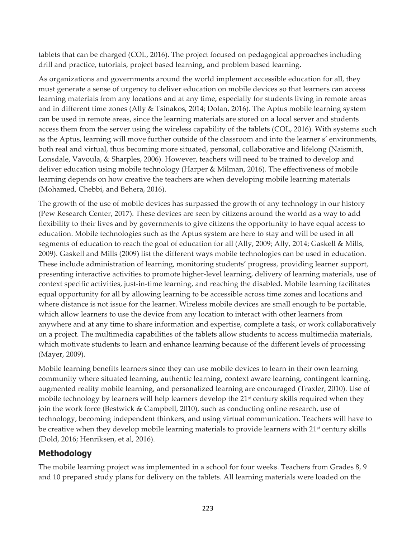tablets that can be charged (COL, 2016). The project focused on pedagogical approaches including drill and practice, tutorials, project based learning, and problem based learning.

As organizations and governments around the world implement accessible education for all, they must generate a sense of urgency to deliver education on mobile devices so that learners can access learning materials from any locations and at any time, especially for students living in remote areas and in different time zones (Ally & Tsinakos, 2014; Dolan, 2016). The Aptus mobile learning system can be used in remote areas, since the learning materials are stored on a local server and students access them from the server using the wireless capability of the tablets (COL, 2016). With systems such as the Aptus, learning will move further outside of the classroom and into the learner s' environments, both real and virtual, thus becoming more situated, personal, collaborative and lifelong (Naismith, Lonsdale, Vavoula, & Sharples, 2006). However, teachers will need to be trained to develop and deliver education using mobile technology (Harper & Milman, 2016). The effectiveness of mobile learning depends on how creative the teachers are when developing mobile learning materials (Mohamed, Chebbi, and Behera, 2016).

The growth of the use of mobile devices has surpassed the growth of any technology in our history (Pew Research Center, 2017). These devices are seen by citizens around the world as a way to add flexibility to their lives and by governments to give citizens the opportunity to have equal access to education. Mobile technologies such as the Aptus system are here to stay and will be used in all segments of education to reach the goal of education for all (Ally, 2009; Ally, 2014; Gaskell & Mills, 2009). Gaskell and Mills (2009) list the different ways mobile technologies can be used in education. These include administration of learning, monitoring students' progress, providing learner support, presenting interactive activities to promote higher-level learning, delivery of learning materials, use of context specific activities, just-in-time learning, and reaching the disabled. Mobile learning facilitates equal opportunity for all by allowing learning to be accessible across time zones and locations and where distance is not issue for the learner. Wireless mobile devices are small enough to be portable, which allow learners to use the device from any location to interact with other learners from anywhere and at any time to share information and expertise, complete a task, or work collaboratively on a project. The multimedia capabilities of the tablets allow students to access multimedia materials, which motivate students to learn and enhance learning because of the different levels of processing (Mayer, 2009).

Mobile learning benefits learners since they can use mobile devices to learn in their own learning community where situated learning, authentic learning, context aware learning, contingent learning, augmented reality mobile learning, and personalized learning are encouraged (Traxler, 2010). Use of mobile technology by learners will help learners develop the 21<sup>st</sup> century skills required when they join the work force (Bestwick & Campbell, 2010), such as conducting online research, use of technology, becoming independent thinkers, and using virtual communication. Teachers will have to be creative when they develop mobile learning materials to provide learners with 21<sup>st</sup> century skills (Dold, 2016; Henriksen, et al, 2016).

# **Methodology**

The mobile learning project was implemented in a school for four weeks. Teachers from Grades 8, 9 and 10 prepared study plans for delivery on the tablets. All learning materials were loaded on the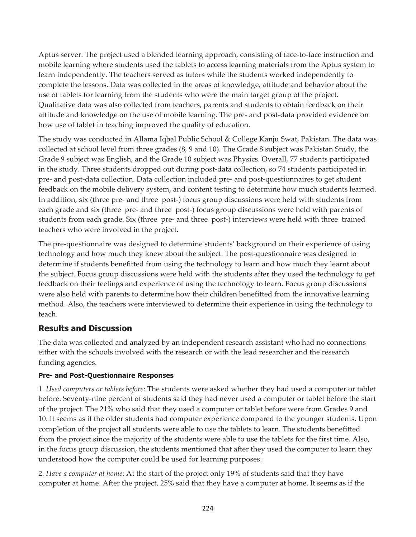Aptus server. The project used a blended learning approach, consisting of face-to-face instruction and mobile learning where students used the tablets to access learning materials from the Aptus system to learn independently. The teachers served as tutors while the students worked independently to complete the lessons. Data was collected in the areas of knowledge, attitude and behavior about the use of tablets for learning from the students who were the main target group of the project. Qualitative data was also collected from teachers, parents and students to obtain feedback on their attitude and knowledge on the use of mobile learning. The pre- and post-data provided evidence on how use of tablet in teaching improved the quality of education.

The study was conducted in Allama Iqbal Public School & College Kanju Swat, Pakistan. The data was collected at school level from three grades (8, 9 and 10). The Grade 8 subject was Pakistan Study, the Grade 9 subject was English, and the Grade 10 subject was Physics. Overall, 77 students participated in the study. Three students dropped out during post-data collection, so 74 students participated in pre- and post-data collection. Data collection included pre- and post-questionnaires to get student feedback on the mobile delivery system, and content testing to determine how much students learned. In addition, six (three pre- and three post-) focus group discussions were held with students from each grade and six (three pre- and three post-) focus group discussions were held with parents of students from each grade. Six (three pre- and three post-) interviews were held with three trained teachers who were involved in the project.

The pre-questionnaire was designed to determine students' background on their experience of using technology and how much they knew about the subject. The post-questionnaire was designed to determine if students benefitted from using the technology to learn and how much they learnt about the subject. Focus group discussions were held with the students after they used the technology to get feedback on their feelings and experience of using the technology to learn. Focus group discussions were also held with parents to determine how their children benefitted from the innovative learning method. Also, the teachers were interviewed to determine their experience in using the technology to teach.

# **Results and Discussion**

The data was collected and analyzed by an independent research assistant who had no connections either with the schools involved with the research or with the lead researcher and the research funding agencies.

### **Pre- and Post-Questionnaire Responses**

1. *Used computers or tablets before*: The students were asked whether they had used a computer or tablet before. Seventy-nine percent of students said they had never used a computer or tablet before the start of the project. The 21% who said that they used a computer or tablet before were from Grades 9 and 10. It seems as if the older students had computer experience compared to the younger students. Upon completion of the project all students were able to use the tablets to learn. The students benefitted from the project since the majority of the students were able to use the tablets for the first time. Also, in the focus group discussion, the students mentioned that after they used the computer to learn they understood how the computer could be used for learning purposes.

2. *Have a computer at home*: At the start of the project only 19% of students said that they have computer at home. After the project, 25% said that they have a computer at home. It seems as if the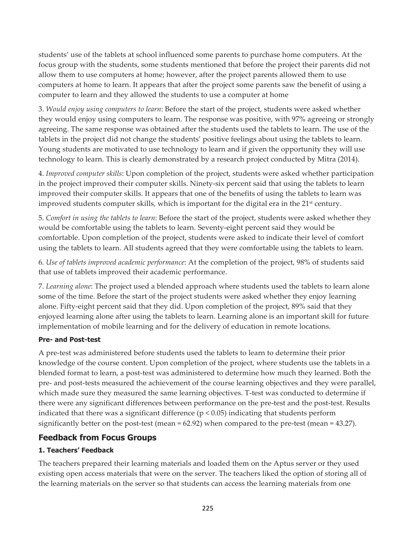students' use of the tablets at school influenced some parents to purchase home computers. At the focus group with the students, some students mentioned that before the project their parents did not allow them to use computers at home; however, after the project parents allowed them to use computers at home to learn. It appears that after the project some parents saw the benefit of using a computer to learn and they allowed the students to use a computer at home

3. *Would enjoy using computers to learn*: Before the start of the project, students were asked whether they would enjoy using computers to learn. The response was positive, with 97% agreeing or strongly agreeing. The same response was obtained after the students used the tablets to learn. The use of the tablets in the project did not change the students' positive feelings about using the tablets to learn. Young students are motivated to use technology to learn and if given the opportunity they will use technology to learn. This is clearly demonstrated by a research project conducted by Mitra (2014).

4. *Improved computer skills*: Upon completion of the project, students were asked whether participation in the project improved their computer skills. Ninety-six percent said that using the tablets to learn improved their computer skills. It appears that one of the benefits of using the tablets to learn was improved students computer skills, which is important for the digital era in the 21<sup>st</sup> century.

5. *Comfort in using the tablets to learn*: Before the start of the project, students were asked whether they would be comfortable using the tablets to learn. Seventy-eight percent said they would be comfortable. Upon completion of the project, students were asked to indicate their level of comfort using the tablets to learn. All students agreed that they were comfortable using the tablets to learn.

6. *Use of tablets improved academic performance*: At the completion of the project, 98% of students said that use of tablets improved their academic performance.

7. *Learning alone*: The project used a blended approach where students used the tablets to learn alone some of the time. Before the start of the project students were asked whether they enjoy learning alone. Fifty-eight percent said that they did. Upon completion of the project, 89% said that they enjoyed learning alone after using the tablets to learn. Learning alone is an important skill for future implementation of mobile learning and for the delivery of education in remote locations.

### **Pre- and Post-test**

A pre-test was administered before students used the tablets to learn to determine their prior knowledge of the course content. Upon completion of the project, where students use the tablets in a blended format to learn, a post-test was administered to determine how much they learned. Both the pre- and post-tests measured the achievement of the course learning objectives and they were parallel, which made sure they measured the same learning objectives. T-test was conducted to determine if there were any significant differences between performance on the pre-test and the post-test. Results indicated that there was a significant difference ( $p < 0.05$ ) indicating that students perform significantly better on the post-test (mean = 62.92) when compared to the pre-test (mean = 43.27).

# **Feedback from Focus Groups**

### **1. Teachers' Feedback**

The teachers prepared their learning materials and loaded them on the Aptus server or they used existing open access materials that were on the server. The teachers liked the option of storing all of the learning materials on the server so that students can access the learning materials from one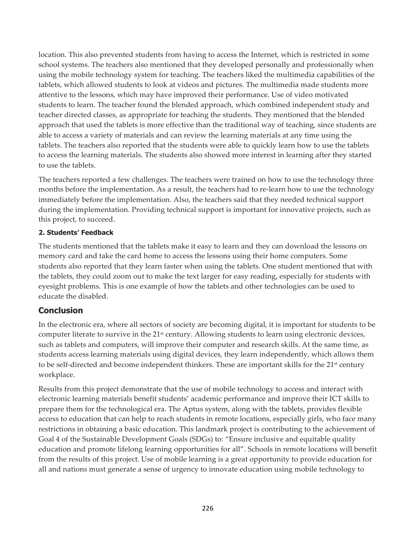location. This also prevented students from having to access the Internet, which is restricted in some school systems. The teachers also mentioned that they developed personally and professionally when using the mobile technology system for teaching. The teachers liked the multimedia capabilities of the tablets, which allowed students to look at videos and pictures. The multimedia made students more attentive to the lessons, which may have improved their performance. Use of video motivated students to learn. The teacher found the blended approach, which combined independent study and teacher directed classes, as appropriate for teaching the students. They mentioned that the blended approach that used the tablets is more effective than the traditional way of teaching, since students are able to access a variety of materials and can review the learning materials at any time using the tablets. The teachers also reported that the students were able to quickly learn how to use the tablets to access the learning materials. The students also showed more interest in learning after they started to use the tablets.

The teachers reported a few challenges. The teachers were trained on how to use the technology three months before the implementation. As a result, the teachers had to re-learn how to use the technology immediately before the implementation. Also, the teachers said that they needed technical support during the implementation. Providing technical support is important for innovative projects, such as this project, to succeed.

#### **2. Students' Feedback**

The students mentioned that the tablets make it easy to learn and they can download the lessons on memory card and take the card home to access the lessons using their home computers. Some students also reported that they learn faster when using the tablets. One student mentioned that with the tablets, they could zoom out to make the text larger for easy reading, especially for students with eyesight problems. This is one example of how the tablets and other technologies can be used to educate the disabled.

# **Conclusion**

In the electronic era, where all sectors of society are becoming digital, it is important for students to be computer literate to survive in the  $21<sup>st</sup>$  century. Allowing students to learn using electronic devices, such as tablets and computers, will improve their computer and research skills. At the same time, as students access learning materials using digital devices, they learn independently, which allows them to be self-directed and become independent thinkers. These are important skills for the 21<sup>st</sup> century workplace.

Results from this project demonstrate that the use of mobile technology to access and interact with electronic learning materials benefit students' academic performance and improve their ICT skills to prepare them for the technological era. The Aptus system, along with the tablets, provides flexible access to education that can help to reach students in remote locations, especially girls, who face many restrictions in obtaining a basic education. This landmark project is contributing to the achievement of Goal 4 of the Sustainable Development Goals (SDGs) to: "Ensure inclusive and equitable quality education and promote lifelong learning opportunities for all". Schools in remote locations will benefit from the results of this project. Use of mobile learning is a great opportunity to provide education for all and nations must generate a sense of urgency to innovate education using mobile technology to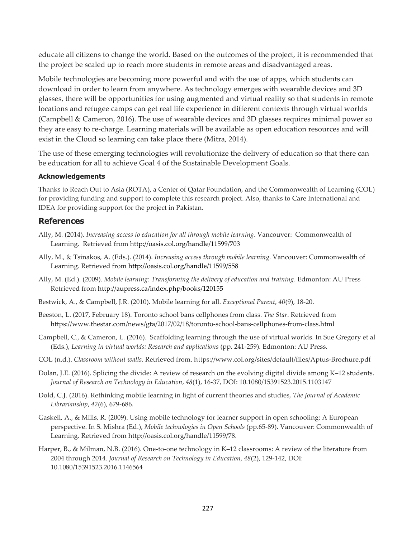educate all citizens to change the world. Based on the outcomes of the project, it is recommended that the project be scaled up to reach more students in remote areas and disadvantaged areas.

Mobile technologies are becoming more powerful and with the use of apps, which students can download in order to learn from anywhere. As technology emerges with wearable devices and 3D glasses, there will be opportunities for using augmented and virtual reality so that students in remote locations and refugee camps can get real life experience in different contexts through virtual worlds (Campbell & Cameron, 2016). The use of wearable devices and 3D glasses requires minimal power so they are easy to re-charge. Learning materials will be available as open education resources and will exist in the Cloud so learning can take place there (Mitra, 2014).

The use of these emerging technologies will revolutionize the delivery of education so that there can be education for all to achieve Goal 4 of the Sustainable Development Goals.

#### **Acknowledgements**

Thanks to Reach Out to Asia (ROTA), a Center of Qatar Foundation, and the Commonwealth of Learning (COL) for providing funding and support to complete this research project. Also, thanks to Care International and IDEA for providing support for the project in Pakistan.

#### **References**

- Ally, M. (2014). *Increasing access to education for all through mobile learning*. Vancouver: Commonwealth of Learning. Retrieved from http://oasis.col.org/handle/11599/703
- Ally, M., & Tsinakos, A. (Eds.). (2014). *Increasing access through mobile learning*. Vancouver: Commonwealth of Learning. Retrieved from http://oasis.col.org/handle/11599/558
- Ally, M. (Ed.). (2009). *Mobile learning: Transforming the delivery of education and training*. Edmonton: AU Press Retrieved from http://aupress.ca/index.php/books/120155
- Bestwick, A., & Campbell, J.R. (2010). Mobile learning for all. *Exceptional Parent*, *40*(9), 18-20.
- Beeston, L. (2017, February 18). Toronto school bans cellphones from class. *The Star*. Retrieved from https://www.thestar.com/news/gta/2017/02/18/toronto-school-bans-cellphones-from-class.html
- Campbell, C., & Cameron, L. (2016). Scaffolding learning through the use of virtual worlds. In Sue Gregory et al (Eds.), *Learning in virtual worlds: Research and applications* (pp. 241-259)*.* Edmonton: AU Press.
- COL (n.d.). *Classroom without walls.* Retrieved from. https://www.col.org/sites/default/files/Aptus-Brochure.pdf
- Dolan, J.E. (2016). Splicing the divide: A review of research on the evolving digital divide among K–12 students. *Journal of Research on Technology in Education*, *48*(1), 16-37, DOI: 10.1080/15391523.2015.1103147
- Dold, C.J. (2016). Rethinking mobile learning in light of current theories and studies, *The Journal of Academic Librarianship*, *42*(6), 679-686.
- Gaskell, A., & Mills, R. (2009). Using mobile technology for learner support in open schooling: A European perspective. In S. Mishra (Ed.), *Mobile technologies in Open Schools* (pp.65-89). Vancouver: Commonwealth of Learning. Retrieved from http://oasis.col.org/handle/11599/78.
- Harper, B., & Milman, N.B. (2016). One-to-one technology in K–12 classrooms: A review of the literature from 2004 through 2014. *Journal of Research on Technology in Education*, *48*(2), 129-142, DOI: 10.1080/15391523.2016.1146564